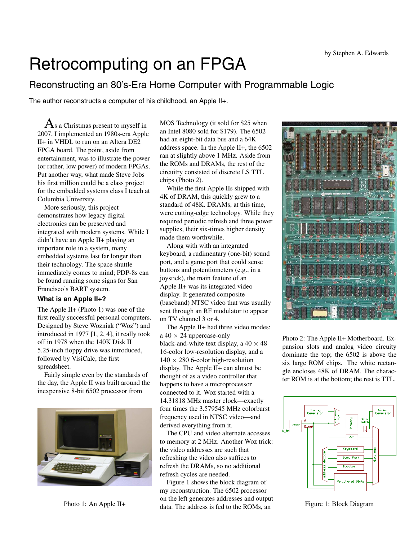# Retrocomputing on an FPGA

# Reconstructing an 80's-Era Home Computer with Programmable Logic

The author reconstructs a computer of his childhood, an Apple II+.

 ${\rm A}$ s a Christmas present to myself in 2007, I implemented an 1980s-era Apple II+ in VHDL to run on an Altera DE2 FPGA board. The point, aside from entertainment, was to illustrate the power (or rather, low power) of modern FPGAs. Put another way, what made Steve Jobs his first million could be a class project for the embedded systems class I teach at Columbia University.

More seriously, this project demonstrates how legacy digital electronics can be preserved and integrated with modern systems. While I didn't have an Apple II+ playing an important role in a system, many embedded systems last far longer than their technology. The space shuttle immediately comes to mind; PDP-8s can be found running some signs for San Francisco's BART system.

#### **What is an Apple II+?**

The Apple II+ (Photo 1) was one of the first really successful personal computers. Designed by Steve Wozniak ("Woz") and introduced in 1977 [1, 2, 4], it really took off in 1978 when the 140K Disk II 5.25-inch floppy drive was introduced, followed by VisiCalc, the first spreadsheet.

Fairly simple even by the standards of the day, the Apple II was built around the inexpensive 8-bit 6502 processor from



Photo 1: An Apple II+

MOS Technology (it sold for \$25 when an Intel 8080 sold for \$179). The 6502 had an eight-bit data bus and a 64K address space. In the Apple II+, the 6502 ran at slightly above 1 MHz. Aside from the ROMs and DRAMs, the rest of the circuitry consisted of discrete LS TTL chips (Photo 2).

While the first Apple IIs shipped with 4K of DRAM, this quickly grew to a standard of 48K. DRAMs, at this time, were cutting-edge technology. While they required periodic refresh and three power supplies, their six-times higher density made them worthwhile.

Along with with an integrated keyboard, a rudimentary (one-bit) sound port, and a game port that could sense buttons and potentiometers (e.g., in a joystick), the main feature of an Apple II+ was its integrated video display. It generated composite (baseband) NTSC video that was usually sent through an RF modulator to appear on TV channel 3 or 4.

The Apple II+ had three video modes:  $a 40 \times 24$  uppercase-only black-and-white text display, a  $40 \times 48$ 16-color low-resolution display, and a  $140 \times 280$  6-color high-resolution display. The Apple II+ can almost be thought of as a video controller that happens to have a microprocessor connected to it. Woz started with a 14.31818 MHz master clock—exactly four times the 3.579545 MHz colorburst frequency used in NTSC video—and derived everything from it.

The CPU and video alternate accesses to memory at 2 MHz. Another Woz trick: the video addresses are such that refreshing the video also suffices to refresh the DRAMs, so no additional refresh cycles are needed.

Figure 1 shows the block diagram of my reconstruction. The 6502 processor on the left generates addresses and output data. The address is fed to the ROMs, an



Photo 2: The Apple II+ Motherboard. Expansion slots and analog video circuity dominate the top; the 6502 is above the six large ROM chips. The white rectangle encloses 48K of DRAM. The character ROM is at the bottom; the rest is TTL.



Figure 1: Block Diagram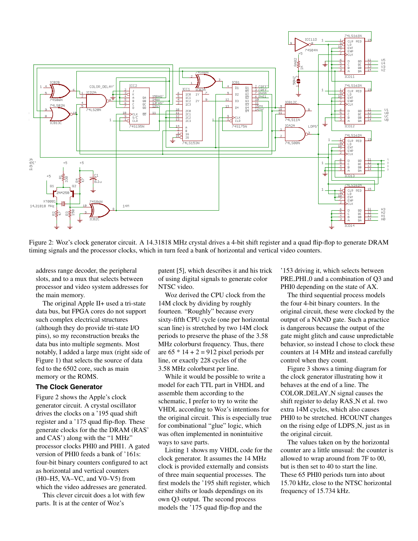

Figure 2: Woz's clock generator circuit. A 14.31818 MHz crystal drives a 4-bit shift register and a quad flip-flop to generate DRAM timing signals and the processor clocks, which in turn feed a bank of horizontal and vertical video counters.

address range decoder, the peripheral slots, and to a mux that selects between processor and video system addresses for the main memory.

The original Apple II+ used a tri-state data bus, but FPGA cores do not support such complex electrical structures (although they do provide tri-state I/O pins), so my reconstruction breaks the data bus into multiple segments. Most notably, I added a large mux (right side of Figure 1) that selects the source of data fed to the 6502 core, such as main memory or the ROMS.

# **The Clock Generator**

Figure 2 shows the Apple's clock generator circuit. A crystal oscillator drives the clocks on a '195 quad shift register and a '175 quad flip-flop. These generate clocks for the the DRAM (RAS' and CAS') along with the "1 MHz" processor clocks PHI0 and PHI1. A gated version of PHI0 feeds a bank of '161s: four-bit binary counters configured to act as horizontal and vertical counters (H0–H5, VA–VC, and V0–V5) from which the video addresses are generated.

This clever circuit does a lot with few parts. It is at the center of Woz's

patent [5], which describes it and his trick of using digital signals to generate color NTSC video.

Woz derived the CPU clock from the 14M clock by dividing by roughly fourteen. "Roughly" because every sixty-fifth CPU cycle (one per horizontal scan line) is stretched by two 14M clock periods to preserve the phase of the 3.58 MHz colorburst frequency. Thus, there are  $65 * 14 + 2 = 912$  pixel periods per line, or exactly 228 cycles of the 3.58 MHz colorburst per line.

While it would be possible to write a model for each TTL part in VHDL and assemble them according to the schematic, I prefer to try to write the VHDL according to Woz's intentions for the original circuit. This is especially true for combinational "glue" logic, which was often implemented in nonintuitive ways to save parts.

Listing 1 shows my VHDL code for the clock generator. It assumes the 14 MHz clock is provided externally and consists of three main sequential processes. The first models the '195 shift register, which either shifts or loads dependings on its own Q3 output. The second process models the '175 quad flip-flop and the

'153 driving it, which selects between PRE PHI 0 and a combination of Q3 and PHI0 depending on the state of AX.

The third sequential process models the four 4-bit binary counters. In the original circuit, these were clocked by the output of a NAND gate. Such a practice is dangerous because the output of the gate might glitch and cause unpredictable behavior, so instead I chose to clock these counters at 14 MHz and instead carefully control when they count.

Figure 3 shows a timing diagram for the clock generator illustrating how it behaves at the end of a line. The COLOR\_DELAY\_N signal causes the shift register to delay RAS\_N et al. two extra 14M cycles, which also causes PHI0 to be stretched. HCOUNT changes on the rising edge of LDPS N, just as in the original circuit.

The values taken on by the horizontal counter are a little unusual: the counter is allowed to wrap around from 7F to 00, but is then set to 40 to start the line. These 65 PHI0 periods turn into about 15.70 kHz, close to the NTSC horizontal frequency of 15.734 kHz.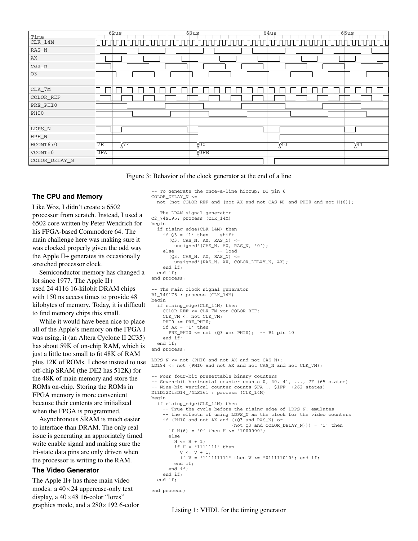| Time            | 62us                  | 63us        | 64us | 65us      |
|-----------------|-----------------------|-------------|------|-----------|
| $CLK_14M$       | $\Box$                |             |      |           |
| RAS_N           |                       |             |      |           |
| AX              |                       |             |      |           |
| $cas_n$         |                       |             |      |           |
| Q <sub>3</sub>  |                       |             |      |           |
| CLK_7M          |                       |             |      |           |
| COLOR_REF       |                       |             |      |           |
| PRE_PHI0        |                       |             |      |           |
| PHI0            |                       |             |      |           |
| ${\tt LDPS\_N}$ |                       |             |      |           |
| HPE_N           |                       |             |      |           |
| HCONT6:0        | $Y^{\dagger}$ F<br>7E | VO 0        | γ40  | $\chi$ 41 |
| VCONT: 0        | 0FA                   | <b>XOFB</b> |      |           |
| COLOR_DELAY_N   |                       |             |      |           |

Figure 3: Behavior of the clock generator at the end of a line

COLOR\_DELAY\_N <=

-- To generate the once-a-line hiccup: D1 pin 6

#### **The CPU and Memory**

Like Woz, I didn't create a 6502 processor from scratch. Instead, I used a 6502 core written by Peter Wendrich for his FPGA-based Commodore 64. The main challenge here was making sure it was clocked properly given the odd way the Apple II+ generates its occasionally stretched processor clock.

Semiconductor memory has changed a lot since 1977. The Apple II+ used 24 4116 16-kilobit DRAM chips with 150 ns access times to provide 48 kilobytes of memory. Today, it is difficult to find memory chips this small.

While it would have been nice to place all of the Apple's memory on the FPGA I was using, it (an Altera Cyclone II 2C35) has about 59K of on-chip RAM, which is just a little too small to fit 48K of RAM plus 12K of ROMs. I chose instead to use off-chip SRAM (the DE2 has 512K) for the 48K of main memory and store the ROMs on-chip. Storing the ROMs in FPGA memory is more convenient because their contents are initialized when the FPGA is programmed.

Asynchronous SRAM is much easier to interface than DRAM. The only real issue is generating an approriately timed write enable signal and making sure the tri-state data pins are only driven when the processor is writing to the RAM.

#### **The Video Generator**

The Apple II+ has three main video modes: a 40×24 uppercase-only text display, a  $40\times48$  16-color "lores" graphics mode, and a 280×192 6-color

```
-- The DRAM signal generator
C2_74S195: process (CLK_14M)
begin
  if rising_edge(CLK_14M) then
    if Q3 = '1' then -- shift
      (Q3, CAS_N, AX, RAS_N) <=
        unsigned'(CAS_N, AX, RAS_N, '0');
    else -- load
      (03, CASN, AX, RASN) \lequnsigned'(RAS N, AX, COLOR DELAY N, AX);
    end if;
  end if;
end process;
-- The main clock signal generator
B1_74S175 : process (CLK_14M)
begin
  if rising_edge(CLK_14M) then
    COLOR_REF <= CLK_7M xor COLOR_REF;
    CLK_7M <= not CLK_7M;
    PHI0 <= PRE_PHI0;
    if AX = '1' then
     PRE PHIO \le not (03 xor PHIO); -- B1 pin 10
    end if;
  end if;
end process;
LDPS_N <= not (PHI0 and not AX and not CAS_N);
LD194 <= not (PHI0 and not AX and not CAS_N and not CLK_7M);
-- Four four-bit presettable binary counters
-- Seven-bit horizontal counter counts 0, 40, 41, ..., 7F (65 states)
-- Nine-bit vertical counter counts $FA .. $1FF (262 states)
D11D12D13D14_74LS161 : process (CLK_14M)
begin
  if rising_edge(CLK_14M) then
    -- True the cycle before the rising edge of LDPS_N: emulates
    -- the effects of using LDPS_N as the clock for the video counters
    if (PHI0 and not AX and ((Q3 and RAS_N) or
                            (not Q3 and COLOR_DELAY_N))) = '1' then
      if H(6) = '0' then H \leq 10000000";
      else
        H \leq H + 1;
        if H = "1111111" then
          V \leq V + 1;if V = "111111111" then V \leq "011111010"; end if;
        end if;
      end if;
    end if;
  end if;
end process;
```
not (not COLOR REF and (not AX and not CAS N) and PHI0 and not  $H(6)$ );

Listing 1: VHDL for the timing generator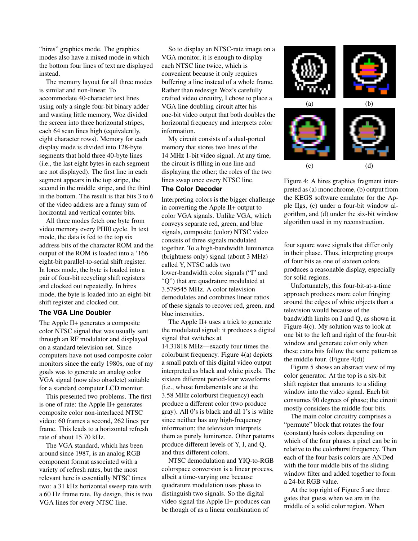"hires" graphics mode. The graphics modes also have a mixed mode in which the bottom four lines of text are displayed instead.

The memory layout for all three modes is similar and non-linear. To accommodate 40-character text lines using only a single four-bit binary adder and wasting little memory, Woz divided the screen into three horizontal stripes, each 64 scan lines high (equivalently, eight character rows). Memory for each display mode is divided into 128-byte segments that hold three 40-byte lines (i.e., the last eight bytes in each segment are not displayed). The first line in each segment appears in the top stripe, the second in the middle stripe, and the third in the bottom. The result is that bits 3 to 6 of the video address are a funny sum of horizontal and vertical counter bits.

All three modes fetch one byte from video memory every PHI0 cycle. In text mode, the data is fed to the top six address bits of the character ROM and the output of the ROM is loaded into a '166 eight-bit parallel-to-serial shift register. In lores mode, the byte is loaded into a pair of four-bit recycling shift registers and clocked out repeatedly. In hires mode, the byte is loaded into an eight-bit shift register and clocked out.

# **The VGA Line Doubler**

The Apple II+ generates a composite color NTSC signal that was usually sent through an RF modulator and displayed on a standard television set. Since computers have not used composite color monitors since the early 1980s, one of my goals was to generate an analog color VGA signal (now also obsolete) suitable for a standard computer LCD monitor.

This presented two problems. The first is one of rate: the Apple II+ generates composite color non-interlaced NTSC video: 60 frames a second, 262 lines per frame. This leads to a horizontal refresh rate of about 15.70 kHz.

The VGA standard, which has been around since 1987, is an analog RGB component format associated with a variety of refresh rates, but the most relevant here is essentially NTSC times two: a 31 kHz horizontal sweep rate with a 60 Hz frame rate. By design, this is two VGA lines for every NTSC line.

So to display an NTSC-rate image on a VGA monitor, it is enough to display each NTSC line twice, which is convenient because it only requires buffering a line instead of a whole frame. Rather than redesign Woz's carefully crafted video circuitry, I chose to place a VGA line doubling circuit after his one-bit video output that both doubles the horizontal frequency and interprets color information.

My circuit consists of a dual-ported memory that stores two lines of the 14 MHz 1-bit video signal. At any time, the circuit is filling in one line and displaying the other; the roles of the two lines swap once every NTSC line.

#### **The Color Decoder**

Interpreting colors is the bigger challenge in converting the Apple II+ output to color VGA signals. Unlike VGA, which conveys separate red, green, and blue signals, composite (color) NTSC video consists of three signals modulated together. To a high-bandwidth luminance (brightness only) signal (about 3 MHz) called Y, NTSC adds two lower-bandwidth color signals ("I" and "Q") that are quadrature modulated at 3.579545 MHz. A color television demodulates and combines linear ratios of these signals to recover red, green, and blue intensities.

The Apple II+ uses a trick to generate the modulated signal: it produces a digital signal that switches at 14.31818 MHz—exactly four times the colorburst frequency. Figure 4(a) depicts a small patch of this digital video output interpreted as black and white pixels. The sixteen different period-four waveforms (i.e., whose fundamentals are at the 3.58 MHz colorburst frequency) each produce a different color (two produce gray). All 0's is black and all 1's is white since neither has any high-frequency information; the television interprets them as purely luminance. Other patterns produce different levels of Y, I, and Q, and thus different colors.

NTSC demodulation and YIQ-to-RGB colorspace conversion is a linear process, albeit a time-varying one because quadrature modulation uses phase to distinguish two signals. So the digital video signal the Apple II+ produces can be though of as a linear combination of



Figure 4: A hires graphics fragment interpreted as (a) monochrome, (b) output from the KEGS software emulator for the Apple IIgs, (c) under a four-bit window algorithm, and (d) under the six-bit window algorithm used in my reconstruction.

four square wave signals that differ only in their phase. Thus, interpreting groups of four bits as one of sixteen colors produces a reasonable display, especially for solid regions.

Unfortunately, this four-bit-at-a-time approach produces more color fringing around the edges of white objects than a television would because of the bandwidth limits on I and Q, as shown in Figure 4(c). My solution was to look at one bit to the left and right of the four-bit window and generate color only when these extra bits follow the same pattern as the middle four. (Figure  $4(d)$ )

Figure 5 shows an abstract view of my color generator. At the top is a six-bit shift register that amounts to a sliding window into the video signal. Each bit consumes 90 degrees of phase; the circuit mostly considers the middle four bits.

The main color circuitry comprises a "permute" block that rotates the four (constant) basis colors depending on which of the four phases a pixel can be in relative to the colorburst frequency. Then each of the four basis colors are ANDed with the four middle bits of the sliding window filter and added together to form a 24-bit RGB value.

At the top right of Figure 5 are three gates that guess when we are in the middle of a solid color region. When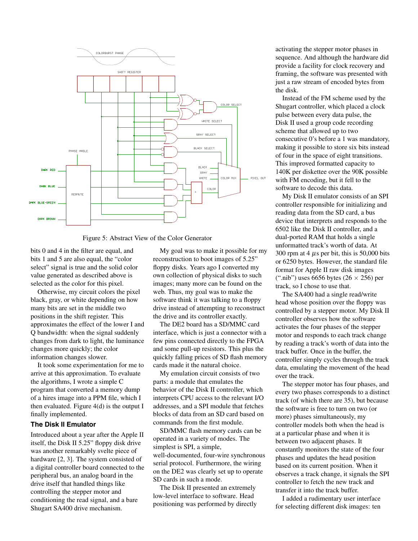

Figure 5: Abstract View of the Color Generator

bits 0 and 4 in the filter are equal, and bits 1 and 5 are also equal, the "color select" signal is true and the solid color value generated as described above is selected as the color for this pixel.

Otherwise, my circuit colors the pixel black, gray, or white depending on how many bits are set in the middle two positions in the shift register. This approximates the effect of the lower I and Q bandwidth: when the signal suddenly changes from dark to light, the luminance changes more quickly; the color information changes slower.

It took some experimentation for me to arrive at this approximation. To evaluate the algorithms, I wrote a simple C program that converted a memory dump of a hires image into a PPM file, which I then evaluated. Figure 4(d) is the output I finally implemented.

#### **The Disk II Emulator**

Introduced about a year after the Apple II itself, the Disk II 5.25" floppy disk drive was another remarkably svelte piece of hardware [2, 3]. The system consisted of a digital controller board connected to the peripheral bus, an analog board in the drive itself that handled things like controlling the stepper motor and conditioning the read signal, and a bare Shugart SA400 drive mechanism.

My goal was to make it possible for my reconstruction to boot images of 5.25" floppy disks. Years ago I converted my own collection of physical disks to such images; many more can be found on the web. Thus, my goal was to make the software think it was talking to a floppy drive instead of attempting to reconstruct the drive and its controller exactly.

The DE2 board has a SD/MMC card interface, which is just a connector with a few pins connected directly to the FPGA and some pull-up resistors. This plus the quickly falling prices of SD flash memory cards made it the natural choice.

My emulation circuit consists of two parts: a module that emulates the behavior of the Disk II controller, which interprets CPU access to the relevant I/O addresses, and a SPI module that fetches blocks of data from an SD card based on commands from the first module.

SD/MMC flash memory cards can be operated in a variety of modes. The simplest is SPI, a simple, well-documented, four-wire synchronous serial protocol. Furthermore, the wiring on the DE2 was clearly set up to operate SD cards in such a mode.

The Disk II presented an extremely low-level interface to software. Head positioning was performed by directly

activating the stepper motor phases in sequence. And although the hardware did provide a facility for clock recovery and framing, the software was presented with just a raw stream of encoded bytes from the disk.

Instead of the FM scheme used by the Shugart controller, which placed a clock pulse between every data pulse, the Disk II used a group code recording scheme that allowed up to two consecutive 0's before a 1 was mandatory, making it possible to store six bits instead of four in the space of eight transitions. This improved formatted capacity to 140K per diskettee over the 90K possible with FM encoding, but it fell to the software to decode this data.

My Disk II emulator consists of an SPI controller responsible for initializing and reading data from the SD card, a bus device that interprets and responds to the 6502 like the Disk II controller, and a dual-ported RAM that holds a single unformatted track's worth of data. At 300 rpm at 4  $\mu$ s per bit, this is 50,000 bits or 6250 bytes. However, the standard file format for Apple II raw disk images (".nib") uses 6656 bytes  $(26 \times 256)$  per track, so I chose to use that.

The SA400 had a single read/write head whose position over the floppy was controlled by a stepper motor. My Disk II controller observes how the software activates the four phases of the stepper motor and responds to each track change by reading a track's worth of data into the track buffer. Once in the buffer, the controller simply cycles through the track data, emulating the movement of the head over the track.

The stepper motor has four phases, and every two phases corresponds to a distinct track (of which there are 35), but because the software is free to turn on two (or more) phases simultaneously, my controller models both when the head is at a particular phase and when it is between two adjacent phases. It constantly monitors the state of the four phases and updates the head position based on its current position. When it observes a track change, it signals the SPI controller to fetch the new track and transfer it into the track buffer.

I added a rudimentary user interface for selecting different disk images: ten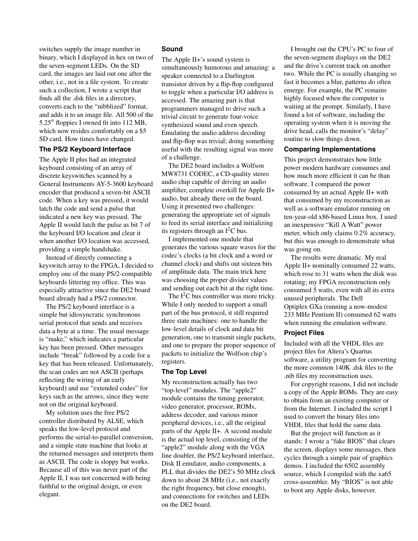switches supply the image number in binary, which I displayed in hex on two of the seven-segment LEDs. On the SD card, the images are laid out one after the other, i.e., not in a file system. To create such a collection, I wrote a script that finds all the .dsk files in a directory, converts each to the "nibblized" format, and adds it to an image file. All 500 of the 5.25′′ floppies I owned fit into 112 MB, which now resides comfortably on a \$5 SD card. How times have changed.

#### **The PS/2 Keyboard Interface**

The Apple II plus had an integrated keyboard consisting of an array of discrete keyswitches scanned by a General Instruments AY-5-3600 keyboard encoder that produced a seven-bit ASCII code. When a key was pressed, it would latch the code and send a pulse that indicated a new key was pressed. The Apple II would latch the pulse as bit 7 of the keyboard I/O location and clear it when another I/O location was accessed, providing a simple handshake.

Instead of directly connecting a keyswitch array to the FPGA, I decided to employ one of the many PS/2-compatible keyboards littering my office. This was especially attractive since the DE2 board board already had a PS/2 connector.

The PS/2 keyboard interface is a simple but idiosyncratic synchronous serial protocol that sends and receives data a byte at a time. The usual message is "make," which indicates a particular key has been pressed. Other messages include "break" followed by a code for a key that has been released. Unfortunately, the scan codes are not ASCII (perhaps reflecting the wiring of an early keyboard) and use "extended codes" for keys such as the arrows, since they were not on the original keyboard.

My solution uses the free PS/2 controller distributed by ALSE, which speaks the low-level protocol and performs the serial-to-parallel conversion, and a simple state machine that looks at the returned messages and interprets them as ASCII. The code is sloppy but works. Because all of this was never part of the Apple II, I was not concerned with being faithful to the original design, or even elegant.

#### **Sound**

The Apple II+'s sound system is simultaneously humorous and amazing: a speaker connected to a Darlington transistor driven by a flip-flop configured to toggle when a particular I/O address is accessed. The amazing part is that programmers managed to drive such a trivial circuit to generate four-voice synthesized sound and even speech. Emulating the audio address decoding and flip-flop was trivial; doing something useful with the resulting signal was more of a challenge.

The DE2 board includes a Wolfson MW8731 CODEC, a CD-quality stereo audio chip capable of driving an audio amplifier, complete overkill for Apple II+ audio, but already there on the board. Using it presented two challenges: generating the appropriate set of signals to feed its serial interface and initializing its registers through an  $I^2C$  bus.

I implemented one module that generates the various square waves for the codec's clocks (a bit clock and a word or channel clock) and shifts out sixteen bits of amplitude data. The main trick here was choosing the proper divider values and sending out each bit at the right time.

The  $I<sup>2</sup>C$  bus controller was more tricky. While I only needed to support a small part of the bus protocol, it still required three state machines: one to handle the low-level details of clock and data bit generation, one to transmit single packets, and one to prepare the proper sequence of packets to initialize the Wolfson chip's registers.

# **The Top Level**

My reconstruction actually has two "top-level" modules. The "apple2" module contains the timing generator, video generator, processor, ROMs, address decoder, and various minor peripheral devices, i.e., all the original parts of the Apple II+. A second module is the actual top level, consisting of the "apple2" module along with the VGA line doubler, the PS/2 keyboard interface, Disk II emulator, audio components, a PLL that divides the DE2's 50 MHz clock down to about 28 MHz (i.e., not exactly the right frequency, but close enough), and connections for switches and LEDs on the DE2 board.

I brought out the CPU's PC to four of the seven-segment displays on the DE2 and the drive's current track on another two. While the PC is usually changing so fast it becomes a blur, patterns do often emerge. For example, the PC remains highly focused when the computer is waiting at the prompt. Similarly, I have found a lot of software, including the operating system when it is moving the drive head, calls the monitor's "delay" routine to slow things down.

#### **Comparing Implementations**

This project demonstrates how little power modern hardware consumes and how much more efficient it can be than software. I compared the power consumed by an actual Apple II+ with that consumed by my reconstruction as well as a software emulator running on ten-year-old x86-based Linux box. I used an inexpensive "Kill A Watt" power meter, which only claims 0.2% accuracy, but this was enough to demonstrate what was going on.

The results were dramatic. My real Apple II+ nominally consumed 22 watts, which rose to 31 watts when the disk was rotating; my FPGA reconstruction only consumed 5 watts, even with all its extra unused peripherals. The Dell Optiplex GXa (running a now-modest 233 MHz Pentium II) consumed 62 watts when running the emulation software.

#### **Project Files**

Included with all the VHDL files are project files for Altera's Quartus software, a utility program for converting the more common 140K .dsk files to the .nib files my reconstruction uses.

For copyright reasons, I did not include a copy of the Apple ROMs. They are easy to obtain from an existing computer or from the Internet. I included the script I used to convert the binary files into VHDL files that hold the same data.

But the project will function as it stands: I wrote a "fake BIOS" that clears the screen, displays some messages, then cycles through a simple pair of graphics demos. I included the 6502 assembly source, which I compiled with the xa65 cross-assembler. My "BIOS" is not able to boot any Apple disks, however.